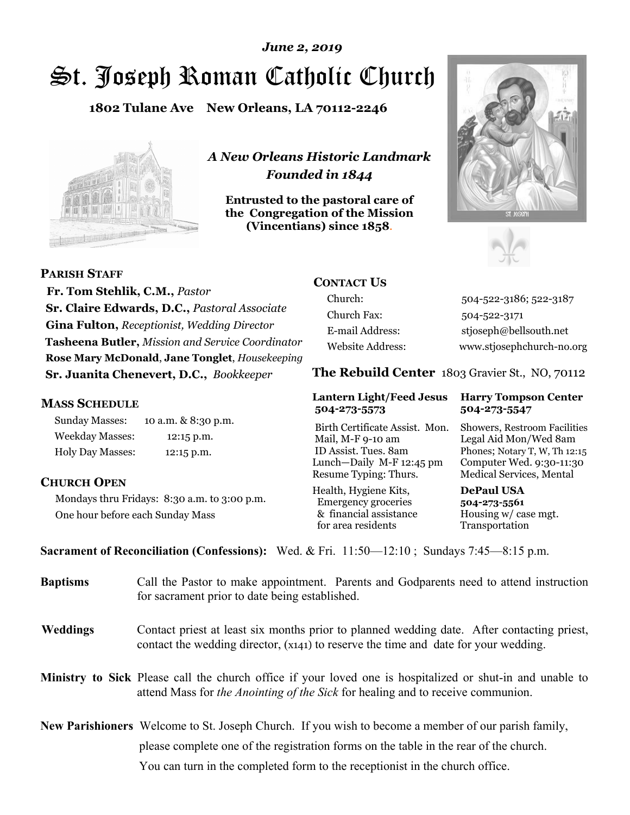# St. Joseph Roman Catholic Church *June 2, 2019*

**1802 Tulane Ave New Orleans, LA 70112-2246**



*A New Orleans Historic Landmark Founded in 1844* 

**Entrusted to the pastoral care of the Congregation of the Mission (Vincentians) since 1858**.





**PARISH STAFF**

 **Fr. Tom Stehlik, C.M.,** *Pastor* **Sr. Claire Edwards, D.C.,** *Pastoral Associate* **Gina Fulton,** *Receptionist, Wedding Director* **Tasheena Butler,** *Mission and Service Coordinator* **Rose Mary McDonald**, **Jane Tonglet**, *Housekeeping* **Sr. Juanita Chenevert, D.C.,** *Bookkeeper* 

#### **MASS SCHEDULE**

Sunday Masses: 10 a.m. & 8:30 p.m. Weekday Masses: 12:15 p.m. Holy Day Masses: 12:15 p.m.

#### **CHURCH OPEN**

Mondays thru Fridays: 8:30 a.m. to 3:00 p.m. One hour before each Sunday Mass

# **CONTACT US**

Church: 504-522-3186; 522-3187 Church Fax: 504-522-3171 E-mail Address: stjoseph@bellsouth.net Website Address: www.stjosephchurch-no.org

**The Rebuild Center** 1803 Gravier St., NO, 70112

#### **Lantern Light/Feed Jesus Harry Tompson Center 504-273-5573 504-273-5547**

Birth Certificate Assist. Mon. Showers, Restroom Facilities Mail, M-F 9-10 am Legal Aid Mon/Wed 8am ID Assist. Tues. 8am Phones; Notary T, W, Th 12:15 Lunch—Daily M-F 12:45 pm Computer Wed. 9:30-11:30 Resume Typing: Thurs. Medical Services, Mental

Health, Hygiene Kits, **DePaul USA**  Emergency groceries **504-273-5561** & financial assistance Housing w/ case mgt.<br>for area residents Transportation for area residents

**Sacrament of Reconciliation (Confessions):** Wed. & Fri. 11:50—12:10 ; Sundays 7:45—8:15 p.m.

| <b>Baptisms</b> | Call the Pastor to make appointment. Parents and Godparents need to attend instruction<br>for sacrament prior to date being established.                                                            |  |
|-----------------|-----------------------------------------------------------------------------------------------------------------------------------------------------------------------------------------------------|--|
| <b>Weddings</b> | Contact priest at least six months prior to planned wedding date. After contacting priest,<br>contact the wedding director, (x141) to reserve the time and date for your wedding.                   |  |
|                 | <b>Ministry to Sick</b> Please call the church office if your loved one is hospitalized or shut-in and unable to<br>attend Mass for the Anointing of the Sick for healing and to receive communion. |  |
|                 | <b>New Parishioners</b> Welcome to St. Joseph Church. If you wish to become a member of our parish family,                                                                                          |  |
|                 | please complete one of the registration forms on the table in the rear of the church.                                                                                                               |  |
|                 | You can turn in the completed form to the reception is the church office.                                                                                                                           |  |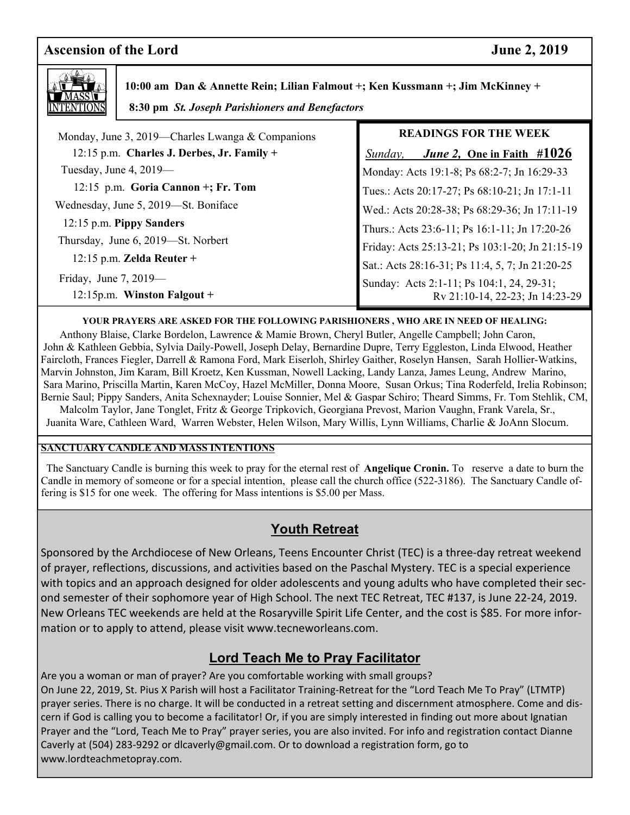# **Ascension of the Lord June 2, 2019**



 **10:00 am Dan & Annette Rein; Lilian Falmout +; Ken Kussmann +; Jim McKinney + 8:30 pm** *St. Joseph Parishioners and Benefactors*

 Monday, June 3, 2019—Charles Lwanga & Companions 12:15 p.m. **Charles J. Derbes, Jr. Family +**  Tuesday, June 4, 2019— 12:15 p.m. **Goria Cannon +; Fr. Tom**  Wednesday, June 5, 2019—St. Boniface 12:15 p.m. **Pippy Sanders**  Thursday, June 6, 2019—St. Norbert 12:15 p.m. **Zelda Reuter +**  Friday, June 7, 2019— 12:15p.m. **Winston Falgout + READINGS FOR THE WEEK**   *Sunday, June 2,* **One in Faith #1026** Monday: Acts 19:1-8; Ps 68:2-7; Jn 16:29-33 Tues.: Acts 20:17-27; Ps 68:10-21; Jn 17:1-11 Wed.: Acts 20:28-38; Ps 68:29-36; Jn 17:11-19 Thurs.: Acts 23:6-11; Ps 16:1-11; Jn 17:20-26 Friday: Acts 25:13-21; Ps 103:1-20; Jn 21:15-19 Sat.: Acts 28:16-31; Ps 11:4, 5, 7; Jn 21:20-25 Sunday: Acts 2:1-11; Ps 104:1, 24, 29-31; Rv 21:10-14, 22-23; Jn 14:23-29

#### **YOUR PRAYERS ARE ASKED FOR THE FOLLOWING PARISHIONERS , WHO ARE IN NEED OF HEALING:**

 Anthony Blaise, Clarke Bordelon, Lawrence & Mamie Brown, Cheryl Butler, Angelle Campbell; John Caron, John & Kathleen Gebbia, Sylvia Daily-Powell, Joseph Delay, Bernardine Dupre, Terry Eggleston, Linda Elwood, Heather Faircloth, Frances Fiegler, Darrell & Ramona Ford, Mark Eiserloh, Shirley Gaither, Roselyn Hansen, Sarah Hollier-Watkins, Marvin Johnston, Jim Karam, Bill Kroetz, Ken Kussman, Nowell Lacking, Landy Lanza, James Leung, Andrew Marino, Sara Marino, Priscilla Martin, Karen McCoy, Hazel McMiller, Donna Moore, Susan Orkus; Tina Roderfeld, Irelia Robinson; Bernie Saul; Pippy Sanders, Anita Schexnayder; Louise Sonnier, Mel & Gaspar Schiro; Theard Simms, Fr. Tom Stehlik, CM, Malcolm Taylor, Jane Tonglet, Fritz & George Tripkovich, Georgiana Prevost, Marion Vaughn, Frank Varela, Sr.,

Juanita Ware, Cathleen Ward, Warren Webster, Helen Wilson, Mary Willis, Lynn Williams, Charlie & JoAnn Slocum.

#### **SANCTUARY CANDLE AND MASS INTENTIONS**

 The Sanctuary Candle is burning this week to pray for the eternal rest of **Angelique Cronin.** To reserve a date to burn the Candle in memory of someone or for a special intention, please call the church office (522-3186). The Sanctuary Candle offering is \$15 for one week. The offering for Mass intentions is \$5.00 per Mass.

# **Youth Retreat**

 of prayer, reflections, discussions, and activities based on the Paschal Mystery. TEC is a special experience Sponsored by the Archdiocese of New Orleans, Teens Encounter Christ (TEC) is a three-day retreat weekend with topics and an approach designed for older adolescents and young adults who have completed their second semester of their sophomore year of High School. The next TEC Retreat, TEC #137, is June 22-24, 2019. New Orleans TEC weekends are held at the Rosaryville Spirit Life Center, and the cost is \$85. For more information or to apply to attend, please visit www.tecneworleans.com.

# **Lord Teach Me to Pray Facilitator**

Are you a woman or man of prayer? Are you comfortable working with small groups? On June 22, 2019, St. Pius X Parish will host a Facilitator Training-Retreat for the "Lord Teach Me To Pray" (LTMTP) prayer series. There is no charge. It will be conducted in a retreat setting and discernment atmosphere. Come and discern if God is calling you to become a facilitator! Or, if you are simply interested in finding out more about Ignatian Prayer and the "Lord, Teach Me to Pray" prayer series, you are also invited. For info and registration contact Dianne Caverly at (504) 283-9292 or dlcaverly@gmail.com. Or to download a registration form, go to www.lordteachmetopray.com.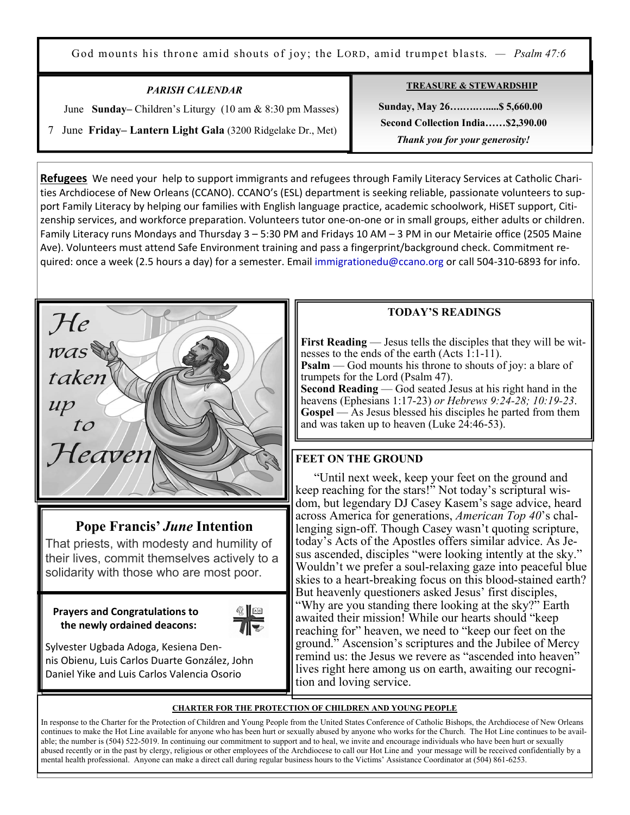God mounts his throne amid shouts of joy; the LORD, amid trumpet blasts. *— Psalm 47:6*

| <b>PARISH CALENDAR</b>                                                      |  |  |
|-----------------------------------------------------------------------------|--|--|
| June Sunday–Children's Liturgy $(10 \text{ am } \& 8:30 \text{ pm Masses})$ |  |  |
| 7 June Friday–Lantern Light Gala (3200 Ridgelake Dr., Met)                  |  |  |

Ξ

**TREASURE & STEWARDSHIP**

 **Sunday, May 26….….….....\$ 5,660.00 Second Collection India……\$2,390.00**   *Thank you for your generosity!* 

**Refugees** We need your help to support immigrants and refugees through Family Literacy Services at Catholic Charities Archdiocese of New Orleans (CCANO). CCANO's (ESL) department is seeking reliable, passionate volunteers to support Family Literacy by helping our families with English language practice, academic schoolwork, HiSET support, Citizenship services, and workforce preparation. Volunteers tutor one-on-one or in small groups, either adults or children. Family Literacy runs Mondays and Thursday 3 – 5:30 PM and Fridays 10 AM – 3 PM in our Metairie office (2505 Maine Ave). Volunteers must attend Safe Environment training and pass a fingerprint/background check. Commitment required: once a week (2.5 hours a day) for a semester. Email immigrationedu@ccano.org or call 504-310-6893 for info.



# **Pope Francis'** *June* **Intention**

That priests, with modesty and humility of their lives, commit themselves actively to a solidarity with those who are most poor.

 **Prayers and Congratulations to the newly ordained deacons:** 



Sylvester Ugbada Adoga, Kesiena Dennis Obienu, Luis Carlos Duarte González, John Daniel Yike and Luis Carlos Valencia Osorio

### **TODAY'S READINGS**

**First Reading** — Jesus tells the disciples that they will be witnesses to the ends of the earth (Acts 1:1-11). **Psalm** — God mounts his throne to shouts of joy: a blare of

trumpets for the Lord (Psalm 47).

**Second Reading** — God seated Jesus at his right hand in the heavens (Ephesians 1:17-23) *or Hebrews 9:24-28; 10:19-23*. **Gospel** — As Jesus blessed his disciples he parted from them and was taken up to heaven (Luke 24:46-53).

# **FEET ON THE GROUND**

"Until next week, keep your feet on the ground and keep reaching for the stars!" Not today's scriptural wisdom, but legendary DJ Casey Kasem's sage advice, heard across America for generations, *American Top 40*'s challenging sign-off. Though Casey wasn't quoting scripture, today's Acts of the Apostles offers similar advice. As Jesus ascended, disciples "were looking intently at the sky." Wouldn't we prefer a soul-relaxing gaze into peaceful blue skies to a heart-breaking focus on this blood-stained earth? But heavenly questioners asked Jesus' first disciples, "Why are you standing there looking at the sky?" Earth awaited their mission! While our hearts should "keep reaching for" heaven, we need to "keep our feet on the ground." Ascension's scriptures and the Jubilee of Mercy remind us: the Jesus we revere as "ascended into heaven" lives right here among us on earth, awaiting our recognition and loving service.

#### **CHARTER FOR THE PROTECTION OF CHILDREN AND YOUNG PEOPLE**

In response to the Charter for the Protection of Children and Young People from the United States Conference of Catholic Bishops, the Archdiocese of New Orleans continues to make the Hot Line available for anyone who has been hurt or sexually abused by anyone who works for the Church. The Hot Line continues to be available; the number is (504) 522-5019. In continuing our commitment to support and to heal, we invite and encourage individuals who have been hurt or sexually abused recently or in the past by clergy, religious or other employees of the Archdiocese to call our Hot Line and your message will be received confidentially by a mental health professional. Anyone can make a direct call during regular business hours to the Victims' Assistance Coordinator at (504) 861-6253.